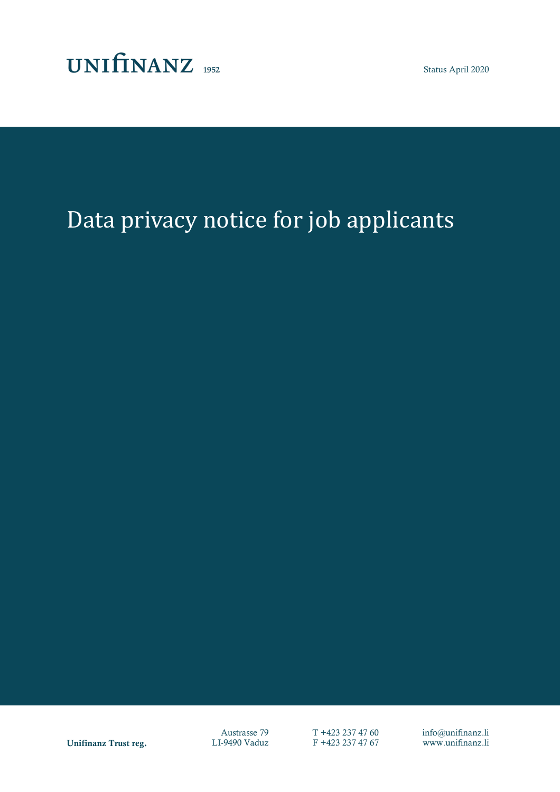

Status April 2020

# Data privacy notice for job applicants

Unifinanz Trust reg. LI-9490 Vaduz F +423 237 47 67 www.unifinanz.li

Austrasse 79  $T +423 237 47 60$  info@unifinanz.li<br>I-9490 Vaduz F +423 237 47 67 www.unifinanz.li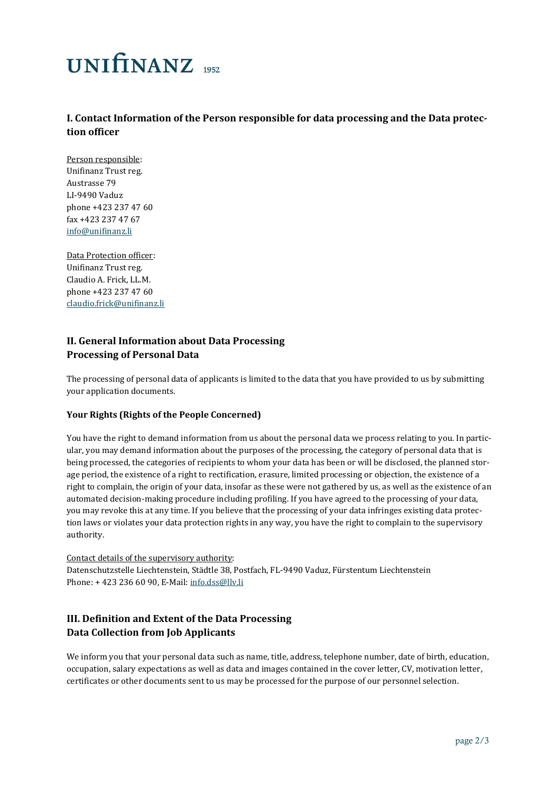# **UNITINANZ** 1952

## **I. Contact Information of the Person responsible for data processing and the Data protection officer**

Person responsible: Unifinanz Trust reg. Austrasse 79 LI-9490 Vaduz phone +423 237 47 60 fax +423 237 47 67 [info@unifinanz.li](mailto:info@unifinanz.li)

#### Data Protection officer:

Unifinanz Trust reg. Claudio A. Frick, LL.M. phone +423 237 47 60 [claudio.frick@unifinanz.li](mailto:claudio.frick@unifinanz.li)

## **II. General Information about Data Processing Processing of Personal Data**

The processing of personal data of applicants is limited to the data that you have provided to us by submitting your application documents.

### **Your Rights (Rights of the People Concerned)**

You have the right to demand information from us about the personal data we process relating to you. In particular, you may demand information about the purposes of the processing, the category of personal data that is being processed, the categories of recipients to whom your data has been or will be disclosed, the planned storage period, the existence of a right to rectification, erasure, limited processing or objection, the existence of a right to complain, the origin of your data, insofar as these were not gathered by us, as well as the existence of an automated decision-making procedure including profiling. If you have agreed to the processing of your data, you may revoke this at any time. If you believe that the processing of your data infringes existing data protection laws or violates your data protection rights in any way, you have the right to complain to the supervisory authority.

Contact details of the supervisory authority: Datenschutzstelle Liechtenstein, Städtle 38, Postfach, FL-9490 Vaduz, Fürstentum Liechtenstein Phone: + 423 236 60 90, E-Mail[: info.dss@llv.li](mailto:info.dss@llv.li)

## **III. Definition and Extent of the Data Processing Data Collection from Job Applicants**

We inform you that your personal data such as name, title, address, telephone number, date of birth, education, occupation, salary expectations as well as data and images contained in the cover letter, CV, motivation letter, certificates or other documents sent to us may be processed for the purpose of our personnel selection.